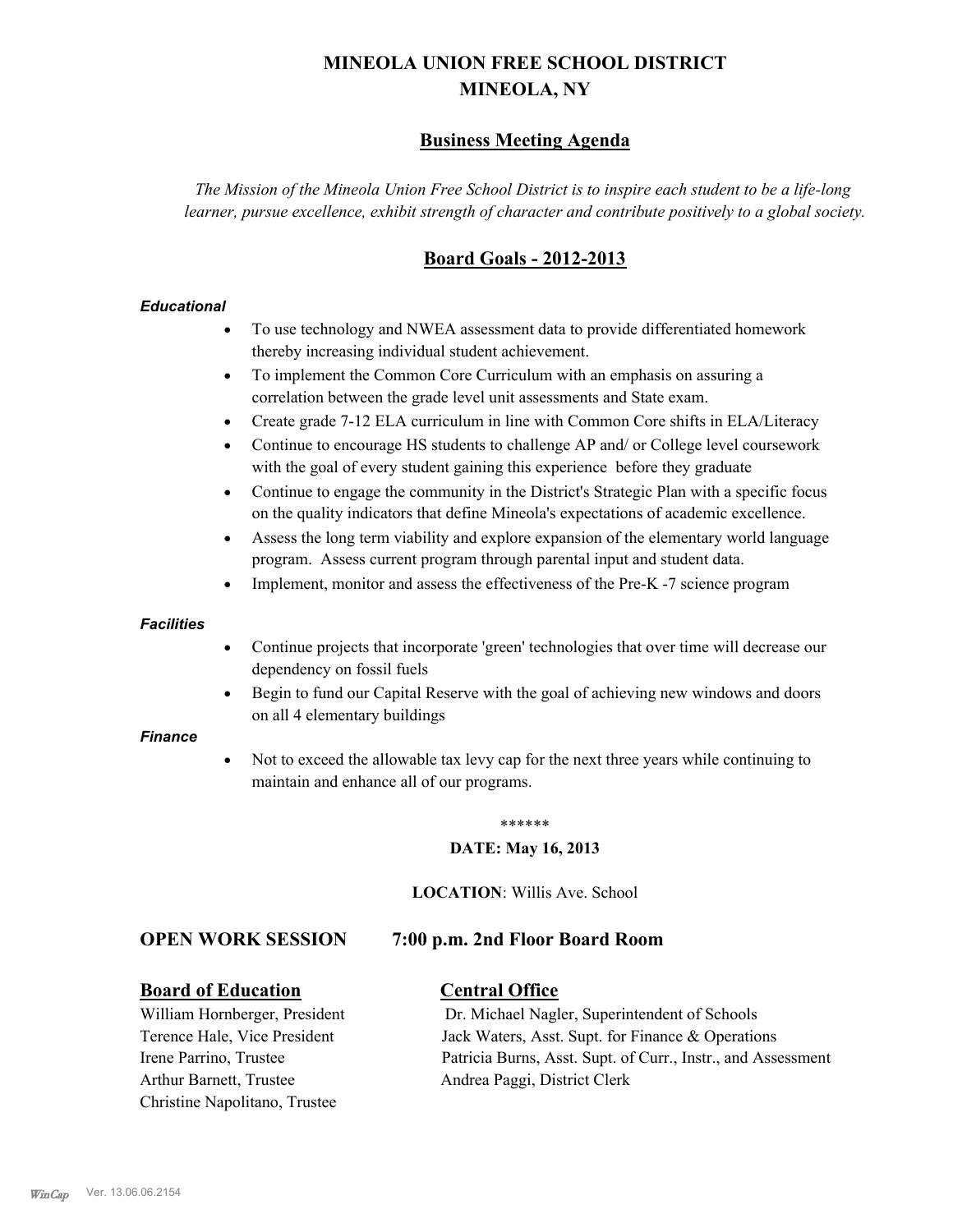# **MINEOLA UNION FREE SCHOOL DISTRICT MINEOLA, NY**

# **Business Meeting Agenda**

*The Mission of the Mineola Union Free School District is to inspire each student to be a life-long learner, pursue excellence, exhibit strength of character and contribute positively to a global society.*

# **Board Goals - 2012-2013**

#### *Educational*

- · To use technology and NWEA assessment data to provide differentiated homework thereby increasing individual student achievement.
- · To implement the Common Core Curriculum with an emphasis on assuring a correlation between the grade level unit assessments and State exam.
- Create grade 7-12 ELA curriculum in line with Common Core shifts in ELA/Literacy
- Continue to encourage HS students to challenge AP and/ or College level coursework with the goal of every student gaining this experience before they graduate
- · Continue to engage the community in the District's Strategic Plan with a specific focus on the quality indicators that define Mineola's expectations of academic excellence.
- Assess the long term viability and explore expansion of the elementary world language program. Assess current program through parental input and student data.
- Implement, monitor and assess the effectiveness of the Pre-K -7 science program

#### *Facilities*

- · Continue projects that incorporate 'green' technologies that over time will decrease our dependency on fossil fuels
- · Begin to fund our Capital Reserve with the goal of achieving new windows and doors on all 4 elementary buildings

#### *Finance*

Not to exceed the allowable tax levy cap for the next three years while continuing to maintain and enhance all of our programs.

#### \*\*\*\*\*\*

#### **DATE: May 16, 2013**

**LOCATION**: Willis Ave. School

#### **OPEN WORK SESSION 7:00 p.m. 2nd Floor Board Room**

#### **Board of Education Central Office**

Arthur Barnett, Trustee Andrea Paggi, District Clerk Christine Napolitano, Trustee

William Hornberger, President Dr. Michael Nagler, Superintendent of Schools Terence Hale, Vice President Jack Waters, Asst. Supt. for Finance & Operations Irene Parrino, Trustee Patricia Burns, Asst. Supt. of Curr., Instr., and Assessment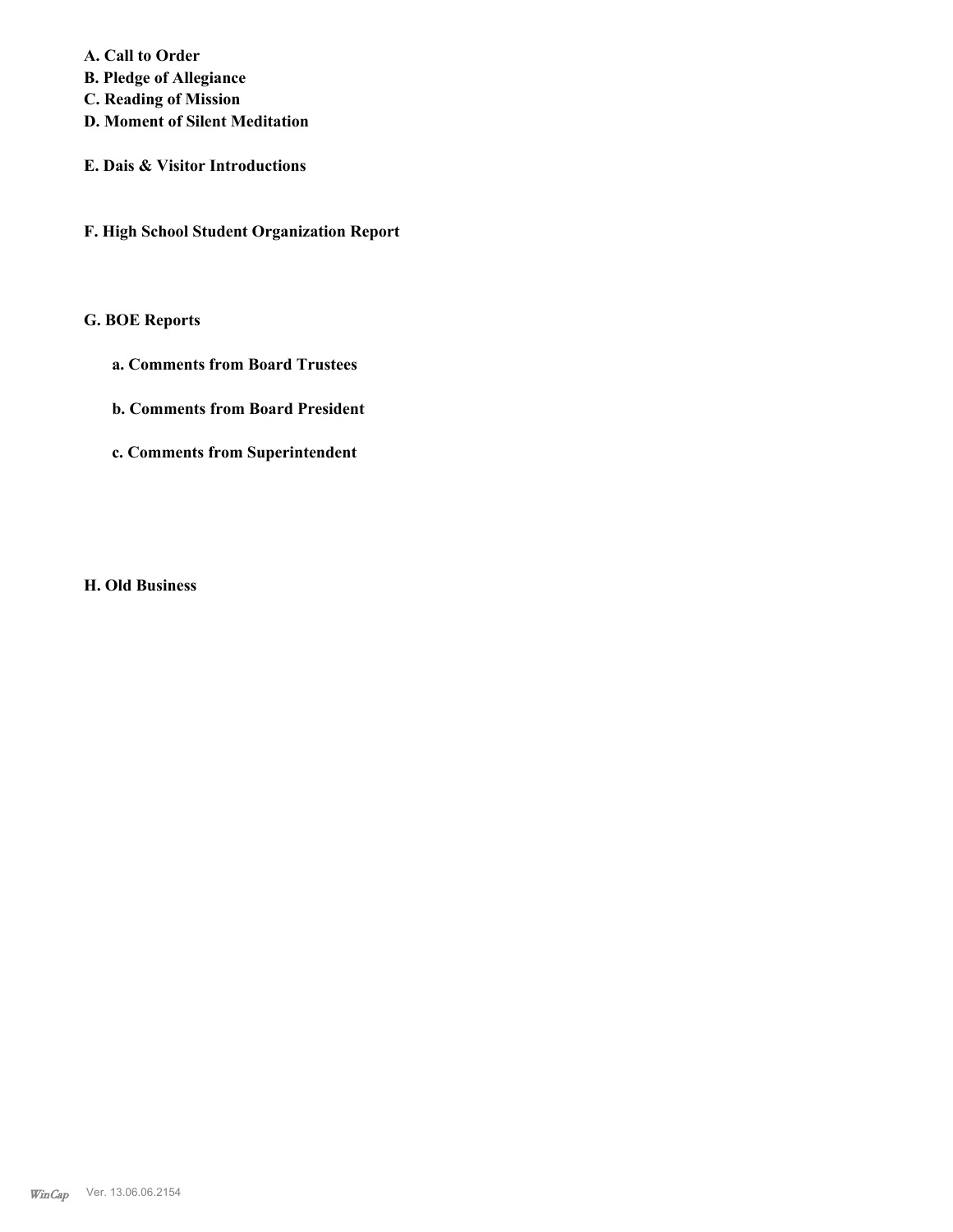**A. Call to Order** 

- **B. Pledge of Allegiance**
- **C. Reading of Mission**
- **D. Moment of Silent Meditation**
- **E. Dais & Visitor Introductions**
- **F. High School Student Organization Report**

# **G. BOE Reports**

- **a. Comments from Board Trustees**
- **b. Comments from Board President**
- **c. Comments from Superintendent**

**H. Old Business**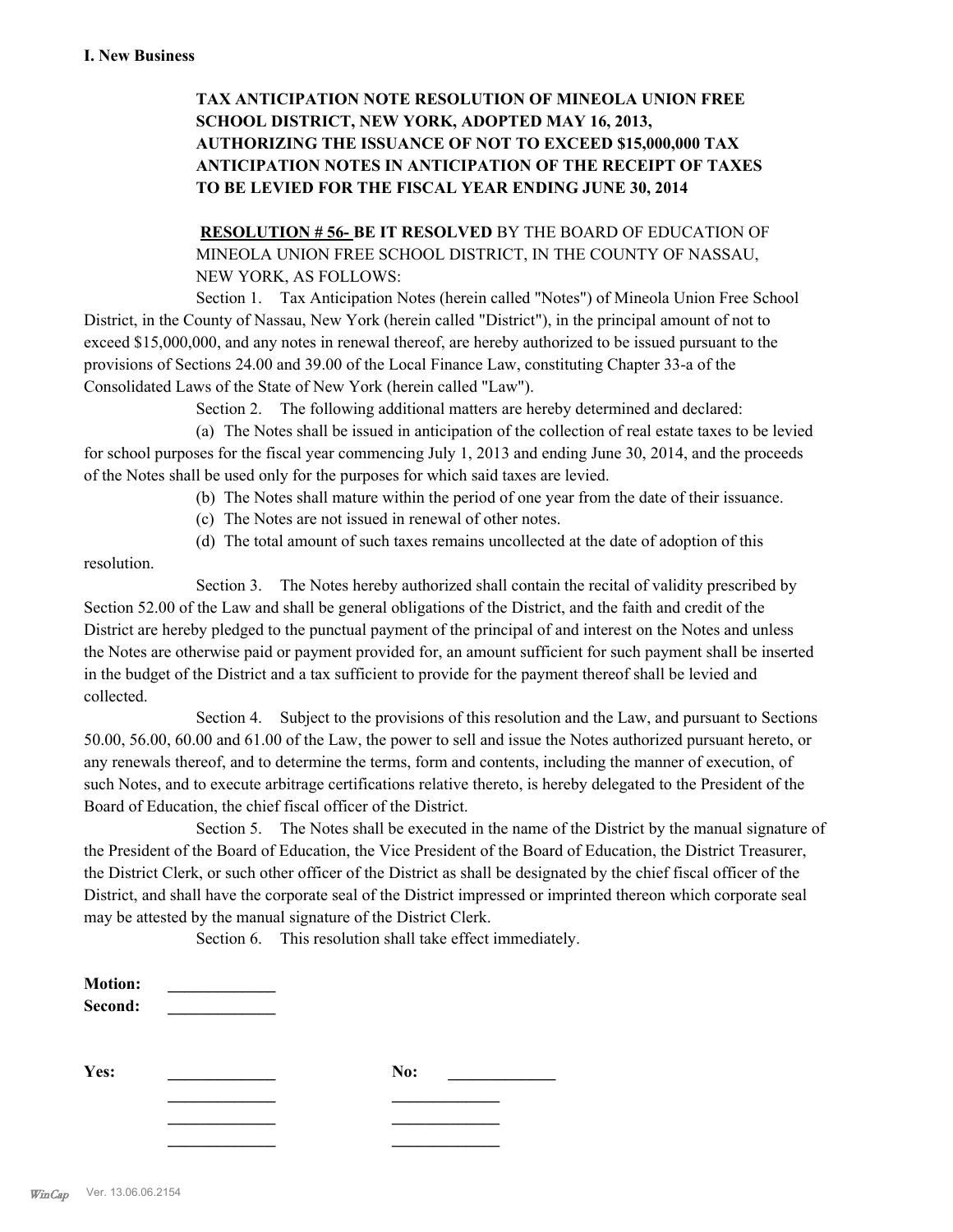# **TAX ANTICIPATION NOTE RESOLUTION OF MINEOLA UNION FREE SCHOOL DISTRICT, NEW YORK, ADOPTED MAY 16, 2013, AUTHORIZING THE ISSUANCE OF NOT TO EXCEED \$15,000,000 TAX ANTICIPATION NOTES IN ANTICIPATION OF THE RECEIPT OF TAXES TO BE LEVIED FOR THE FISCAL YEAR ENDING JUNE 30, 2014**

**RESOLUTION # 56- BE IT RESOLVED** BY THE BOARD OF EDUCATION OF MINEOLA UNION FREE SCHOOL DISTRICT, IN THE COUNTY OF NASSAU, NEW YORK, AS FOLLOWS:

Section 1. Tax Anticipation Notes (herein called "Notes") of Mineola Union Free School District, in the County of Nassau, New York (herein called "District"), in the principal amount of not to exceed \$15,000,000, and any notes in renewal thereof, are hereby authorized to be issued pursuant to the provisions of Sections 24.00 and 39.00 of the Local Finance Law, constituting Chapter 33-a of the Consolidated Laws of the State of New York (herein called "Law").

Section 2. The following additional matters are hereby determined and declared:

(a) The Notes shall be issued in anticipation of the collection of real estate taxes to be levied for school purposes for the fiscal year commencing July 1, 2013 and ending June 30, 2014, and the proceeds of the Notes shall be used only for the purposes for which said taxes are levied.

- (b) The Notes shall mature within the period of one year from the date of their issuance.
- (c) The Notes are not issued in renewal of other notes.
- (d) The total amount of such taxes remains uncollected at the date of adoption of this

resolution.

Section 3. The Notes hereby authorized shall contain the recital of validity prescribed by Section 52.00 of the Law and shall be general obligations of the District, and the faith and credit of the District are hereby pledged to the punctual payment of the principal of and interest on the Notes and unless the Notes are otherwise paid or payment provided for, an amount sufficient for such payment shall be inserted in the budget of the District and a tax sufficient to provide for the payment thereof shall be levied and collected.

Section 4. Subject to the provisions of this resolution and the Law, and pursuant to Sections 50.00, 56.00, 60.00 and 61.00 of the Law, the power to sell and issue the Notes authorized pursuant hereto, or any renewals thereof, and to determine the terms, form and contents, including the manner of execution, of such Notes, and to execute arbitrage certifications relative thereto, is hereby delegated to the President of the Board of Education, the chief fiscal officer of the District.

Section 5. The Notes shall be executed in the name of the District by the manual signature of the President of the Board of Education, the Vice President of the Board of Education, the District Treasurer, the District Clerk, or such other officer of the District as shall be designated by the chief fiscal officer of the District, and shall have the corporate seal of the District impressed or imprinted thereon which corporate seal may be attested by the manual signature of the District Clerk.

Section 6. This resolution shall take effect immediately.

| <b>Motion:</b><br>Second: |     |  |
|---------------------------|-----|--|
| Yes:                      | No: |  |
|                           |     |  |
|                           |     |  |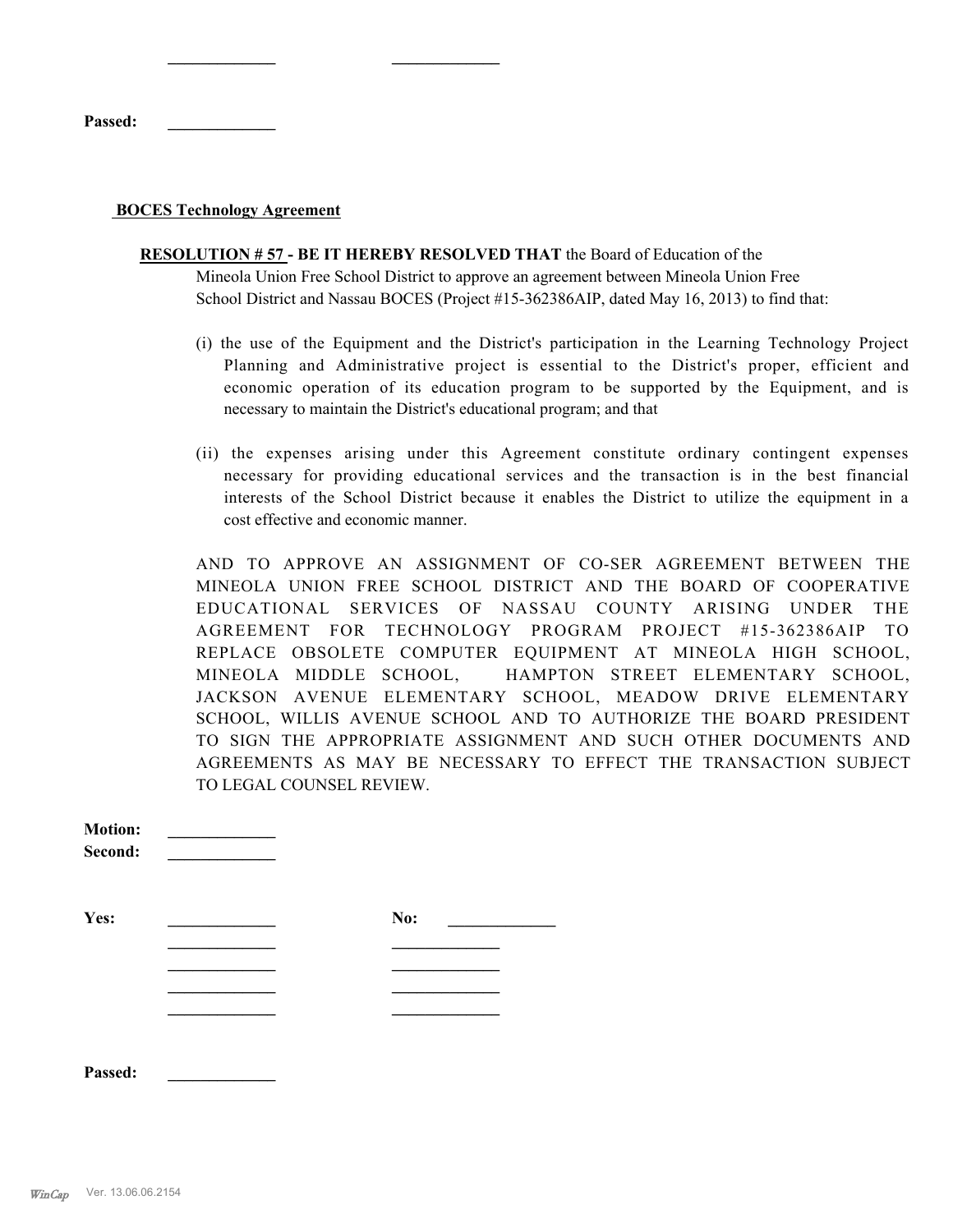**Passed: \_\_\_\_\_\_\_\_\_\_\_\_\_**

#### **BOCES Technology Agreement**

**\_\_\_\_\_\_\_\_\_\_\_\_\_ \_\_\_\_\_\_\_\_\_\_\_\_\_**

- **RESOLUTION # 57 BE IT HEREBY RESOLVED THAT** the Board of Education of the Mineola Union Free School District to approve an agreement between Mineola Union Free School District and Nassau BOCES (Project #15-362386AIP, dated May 16, 2013) to find that:
	- (i) the use of the Equipment and the District's participation in the Learning Technology Project Planning and Administrative project is essential to the District's proper, efficient and economic operation of its education program to be supported by the Equipment, and is necessary to maintain the District's educational program; and that
	- (ii) the expenses arising under this Agreement constitute ordinary contingent expenses necessary for providing educational services and the transaction is in the best financial interests of the School District because it enables the District to utilize the equipment in a cost effective and economic manner.

AND TO APPROVE AN ASSIGNMENT OF CO-SER AGREEMENT BETWEEN THE MINEOLA UNION FREE SCHOOL DISTRICT AND THE BOARD OF COOPERATIVE EDUCATIONAL SERVICES OF NASSAU COUNTY ARISING UNDER THE AGREEMENT FOR TECHNOLOGY PROGRAM PROJECT #15-362386AIP TO REPLACE OBSOLETE COMPUTER EQUIPMENT AT MINEOLA HIGH SCHOOL, MINEOLA MIDDLE SCHOOL, HAMPTON STREET ELEMENTARY SCHOOL, JACKSON AVENUE ELEMENTARY SCHOOL, MEADOW DRIVE ELEMENTARY SCHOOL, WILLIS AVENUE SCHOOL AND TO AUTHORIZE THE BOARD PRESIDENT TO SIGN THE APPROPRIATE ASSIGNMENT AND SUCH OTHER DOCUMENTS AND AGREEMENTS AS MAY BE NECESSARY TO EFFECT THE TRANSACTION SUBJECT TO LEGAL COUNSEL REVIEW.

| <b>Motion:</b><br>Second: |     |  |
|---------------------------|-----|--|
| Yes:                      | No: |  |
|                           |     |  |
|                           |     |  |
|                           |     |  |

**Passed: \_\_\_\_\_\_\_\_\_\_\_\_\_**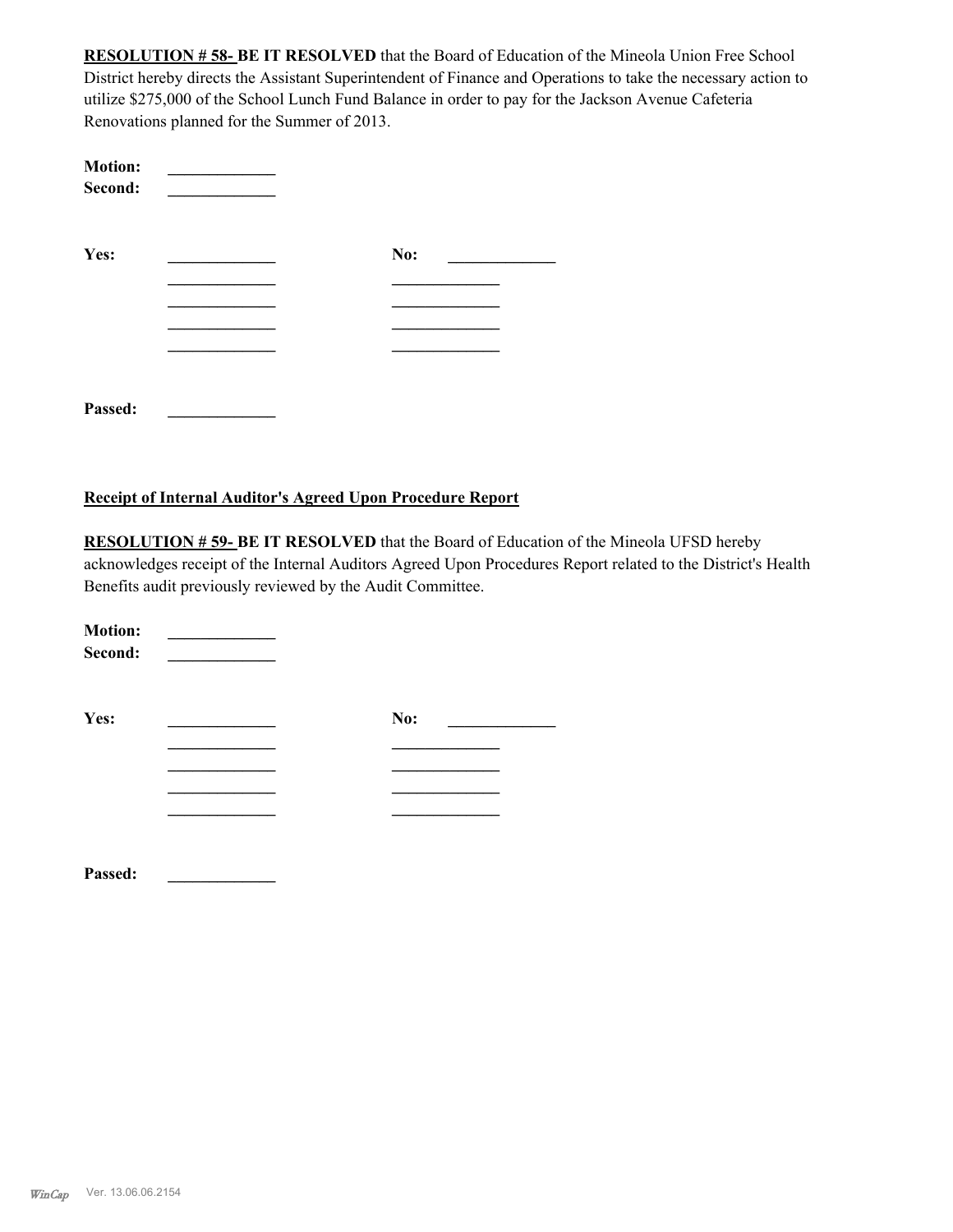**RESOLUTION # 58- BE IT RESOLVED** that the Board of Education of the Mineola Union Free School District hereby directs the Assistant Superintendent of Finance and Operations to take the necessary action to utilize \$275,000 of the School Lunch Fund Balance in order to pay for the Jackson Avenue Cafeteria Renovations planned for the Summer of 2013.

| <b>Motion:</b><br>Second: |     |  |
|---------------------------|-----|--|
| Yes:                      | No: |  |
|                           |     |  |
|                           |     |  |
|                           |     |  |
|                           |     |  |
| Passed:                   |     |  |
|                           |     |  |

#### **Receipt of Internal Auditor's Agreed Upon Procedure Report**

**RESOLUTION # 59- BE IT RESOLVED** that the Board of Education of the Mineola UFSD hereby acknowledges receipt of the Internal Auditors Agreed Upon Procedures Report related to the District's Health Benefits audit previously reviewed by the Audit Committee.

| <b>Motion:</b><br>Second: |     |  |
|---------------------------|-----|--|
| Yes:                      | No: |  |
|                           |     |  |
|                           |     |  |
|                           |     |  |
|                           |     |  |
|                           |     |  |

**Passed: \_\_\_\_\_\_\_\_\_\_\_\_\_**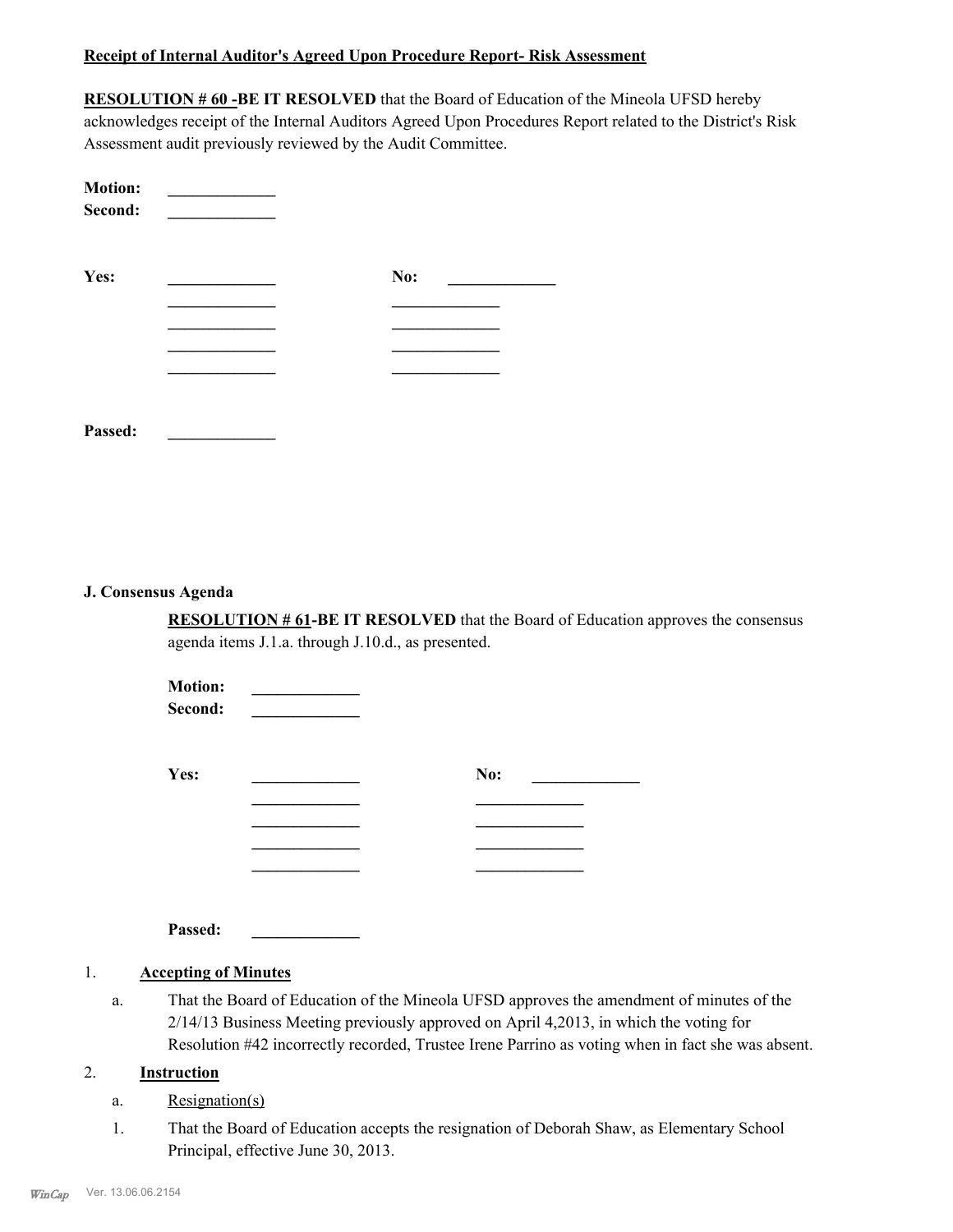#### **Receipt of Internal Auditor's Agreed Upon Procedure Report- Risk Assessment**

**RESOLUTION # 60 -BE IT RESOLVED** that the Board of Education of the Mineola UFSD hereby acknowledges receipt of the Internal Auditors Agreed Upon Procedures Report related to the District's Risk Assessment audit previously reviewed by the Audit Committee.

| <b>Motion:</b><br>Second: |     |
|---------------------------|-----|
| Yes:                      | No: |
|                           |     |
|                           |     |
|                           |     |
|                           |     |
|                           |     |
|                           |     |

#### **J. Consensus Agenda**

**Passed: \_\_\_\_\_\_\_\_\_\_\_\_\_**

**RESOLUTION # 61-BE IT RESOLVED** that the Board of Education approves the consensus agenda items J.1.a. through J.10.d., as presented.

| <b>Motion:</b><br>Second: |     |  |
|---------------------------|-----|--|
| Yes:                      | No: |  |
|                           |     |  |
|                           |     |  |
|                           |     |  |
|                           |     |  |

**Passed: \_\_\_\_\_\_\_\_\_\_\_\_\_**

#### 1. **Accepting of Minutes**

That the Board of Education of the Mineola UFSD approves the amendment of minutes of the 2/14/13 Business Meeting previously approved on April 4,2013, in which the voting for Resolution #42 incorrectly recorded, Trustee Irene Parrino as voting when in fact she was absent. a.

#### 2. **Instruction**

- a. Resignation(s)
- That the Board of Education accepts the resignation of Deborah Shaw, as Elementary School Principal, effective June 30, 2013. 1.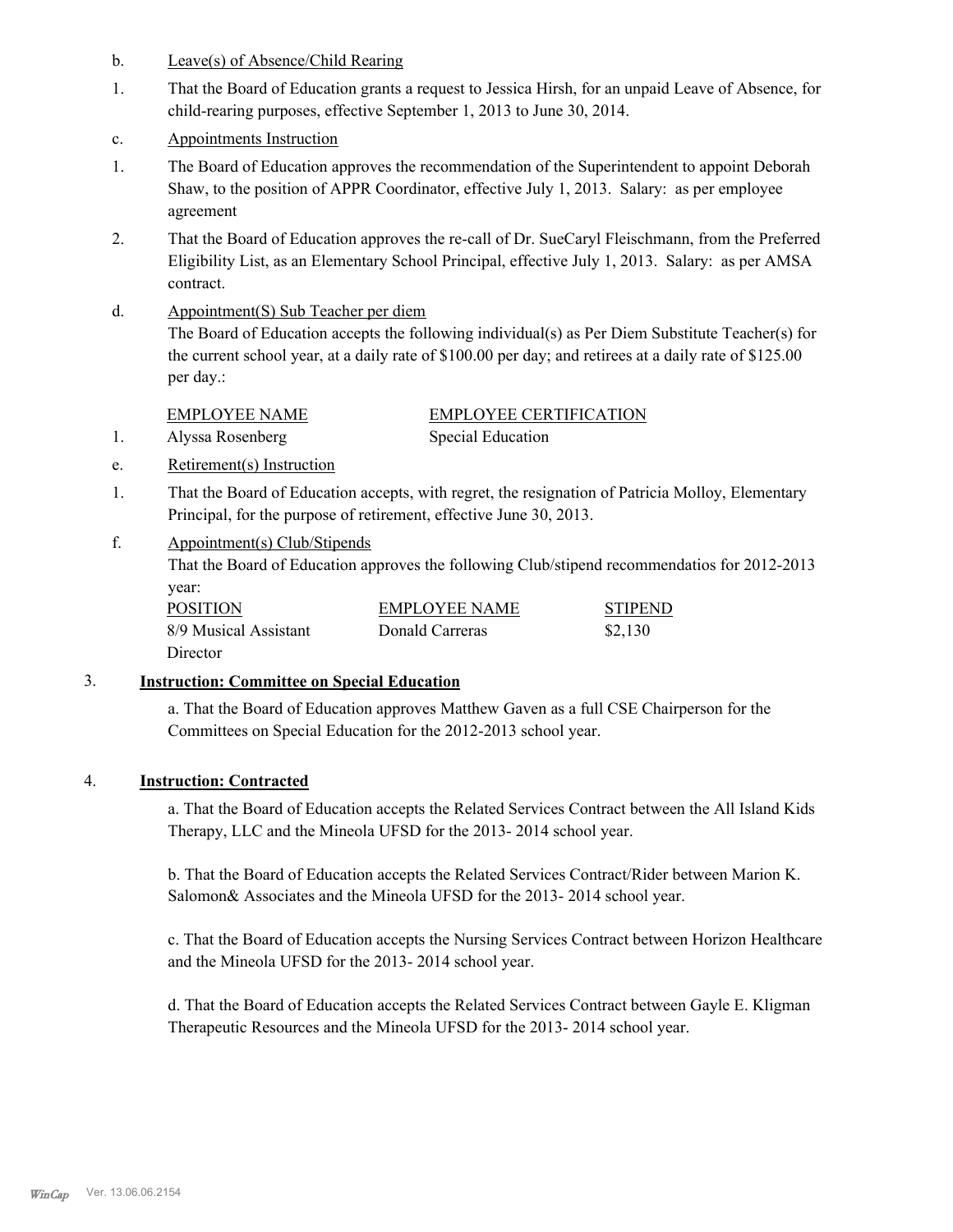- b. Leave(s) of Absence/Child Rearing
- That the Board of Education grants a request to Jessica Hirsh, for an unpaid Leave of Absence, for child-rearing purposes, effective September 1, 2013 to June 30, 2014. 1.
- c. Appointments Instruction
- The Board of Education approves the recommendation of the Superintendent to appoint Deborah Shaw, to the position of APPR Coordinator, effective July 1, 2013. Salary: as per employee agreement 1.
- That the Board of Education approves the re-call of Dr. SueCaryl Fleischmann, from the Preferred Eligibility List, as an Elementary School Principal, effective July 1, 2013. Salary: as per AMSA contract. 2.
- Appointment(S) Sub Teacher per diem d.

The Board of Education accepts the following individual(s) as Per Diem Substitute Teacher(s) for the current school year, at a daily rate of \$100.00 per day; and retirees at a daily rate of \$125.00 per day.:

EMPLOYEE NAME EMPLOYEE CERTIFICATION 1. Alyssa Rosenberg Special Education

- e. Retirement(s) Instruction
- That the Board of Education accepts, with regret, the resignation of Patricia Molloy, Elementary Principal, for the purpose of retirement, effective June 30, 2013. 1.
- Appointment(s) Club/Stipends f.

That the Board of Education approves the following Club/stipend recommendatios for 2012-2013 year:

| <b>POSITION</b>       | <b>EMPLOYEE NAME</b> | <b>STIPEND</b> |
|-----------------------|----------------------|----------------|
| 8/9 Musical Assistant | Donald Carreras      | \$2,130        |
| Director              |                      |                |

#### 3. **Instruction: Committee on Special Education**

a. That the Board of Education approves Matthew Gaven as a full CSE Chairperson for the Committees on Special Education for the 2012-2013 school year.

#### 4. **Instruction: Contracted**

a. That the Board of Education accepts the Related Services Contract between the All Island Kids Therapy, LLC and the Mineola UFSD for the 2013- 2014 school year.

b. That the Board of Education accepts the Related Services Contract/Rider between Marion K. Salomon& Associates and the Mineola UFSD for the 2013-2014 school year.

c. That the Board of Education accepts the Nursing Services Contract between Horizon Healthcare and the Mineola UFSD for the 2013- 2014 school year.

d. That the Board of Education accepts the Related Services Contract between Gayle E. Kligman Therapeutic Resources and the Mineola UFSD for the 2013- 2014 school year.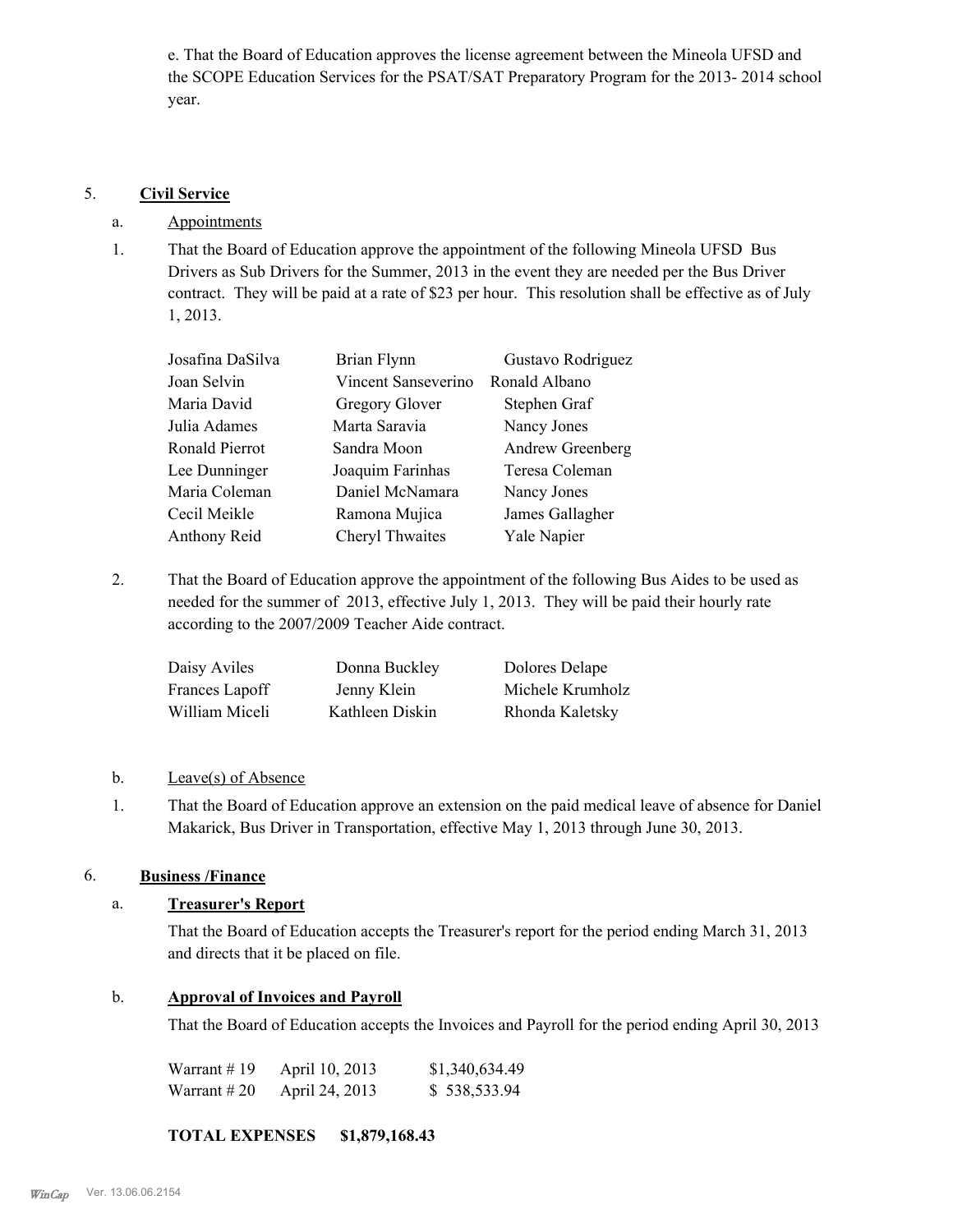e. That the Board of Education approves the license agreement between the Mineola UFSD and the SCOPE Education Services for the PSAT/SAT Preparatory Program for the 2013- 2014 school year.

#### 5. **Civil Service**

#### a. Appointments

That the Board of Education approve the appointment of the following Mineola UFSD Bus Drivers as Sub Drivers for the Summer, 2013 in the event they are needed per the Bus Driver contract. They will be paid at a rate of \$23 per hour. This resolution shall be effective as of July 1, 2013. 1.

| Josafina DaSilva | Brian Flynn         | Gustavo Rodriguez |
|------------------|---------------------|-------------------|
| Joan Selvin      | Vincent Sanseverino | Ronald Albano     |
| Maria David      | Gregory Glover      | Stephen Graf      |
| Julia Adames     | Marta Saravia       | Nancy Jones       |
| Ronald Pierrot   | Sandra Moon         | Andrew Greenberg  |
| Lee Dunninger    | Joaquim Farinhas    | Teresa Coleman    |
| Maria Coleman    | Daniel McNamara     | Nancy Jones       |
| Cecil Meikle     | Ramona Mujica       | James Gallagher   |
| Anthony Reid     | Cheryl Thwaites     | Yale Napier       |
|                  |                     |                   |

That the Board of Education approve the appointment of the following Bus Aides to be used as needed for the summer of 2013, effective July 1, 2013. They will be paid their hourly rate according to the 2007/2009 Teacher Aide contract. 2.

| Daisy Aviles   | Donna Buckley   | Dolores Delape   |
|----------------|-----------------|------------------|
| Frances Lapoff | Jenny Klein     | Michele Krumholz |
| William Miceli | Kathleen Diskin | Rhonda Kaletsky  |

#### b. Leave(s) of Absence

That the Board of Education approve an extension on the paid medical leave of absence for Daniel Makarick, Bus Driver in Transportation, effective May 1, 2013 through June 30, 2013. 1.

## 6. **Business /Finance**

## a. **Treasurer's Report**

That the Board of Education accepts the Treasurer's report for the period ending March 31, 2013 and directs that it be placed on file.

## b. **Approval of Invoices and Payroll**

That the Board of Education accepts the Invoices and Payroll for the period ending April 30, 2013

| Warrant # 19 | April 10, 2013 | \$1,340,634.49 |
|--------------|----------------|----------------|
| Warrant # 20 | April 24, 2013 | \$538,533.94   |

## **TOTAL EXPENSES \$1,879,168.43**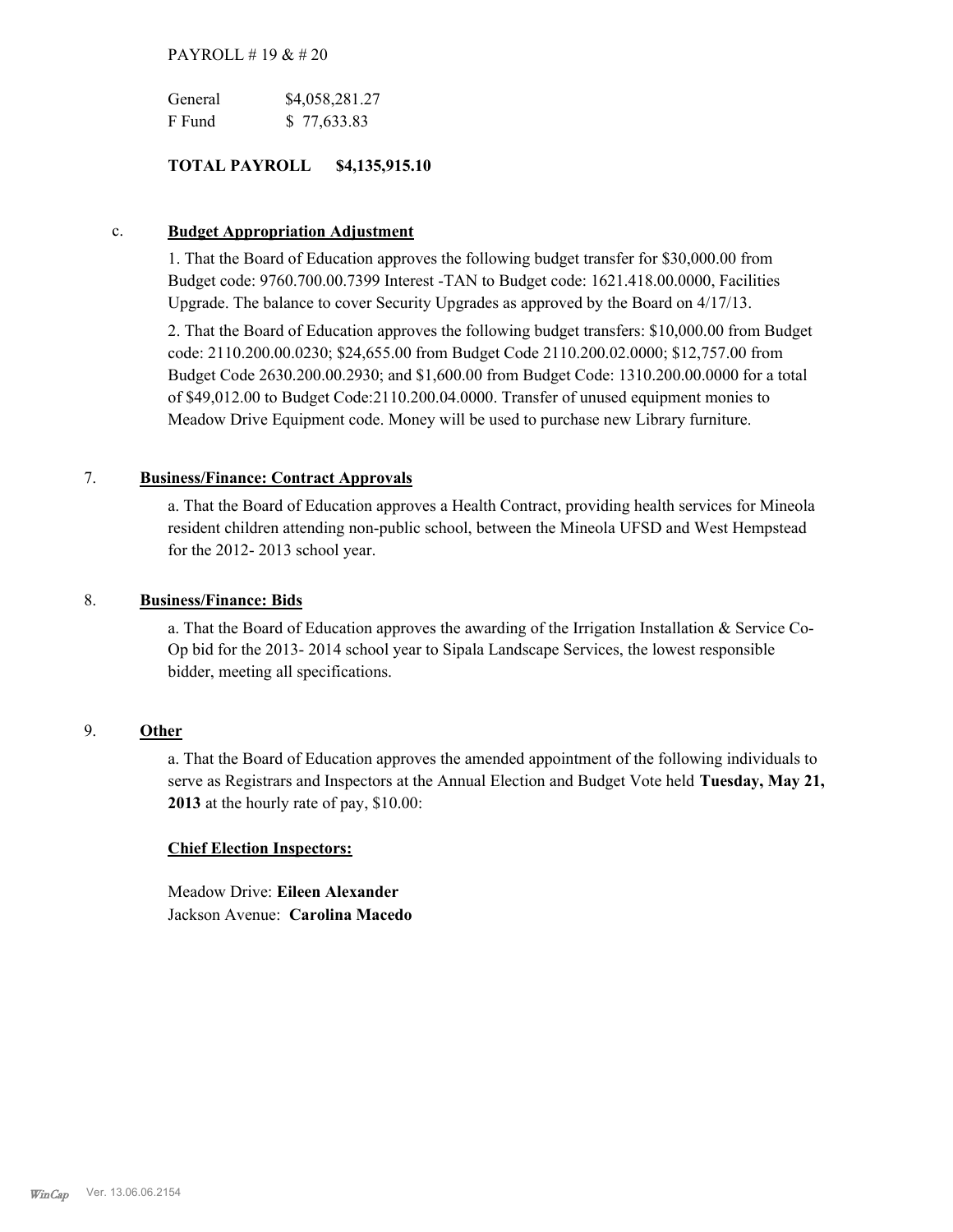#### PAYROLL # 19 & # 20

| General | \$4,058,281.27 |
|---------|----------------|
| F Fund  | \$77,633.83    |

#### **TOTAL PAYROLL \$4,135,915.10**

#### c. **Budget Appropriation Adjustment**

1. That the Board of Education approves the following budget transfer for \$30,000.00 from Budget code: 9760.700.00.7399 Interest -TAN to Budget code: 1621.418.00.0000, Facilities Upgrade. The balance to cover Security Upgrades as approved by the Board on 4/17/13.

2. That the Board of Education approves the following budget transfers: \$10,000.00 from Budget code: 2110.200.00.0230; \$24,655.00 from Budget Code 2110.200.02.0000; \$12,757.00 from Budget Code 2630.200.00.2930; and \$1,600.00 from Budget Code: 1310.200.00.0000 for a total of \$49,012.00 to Budget Code:2110.200.04.0000. Transfer of unused equipment monies to Meadow Drive Equipment code. Money will be used to purchase new Library furniture.

#### 7. **Business/Finance: Contract Approvals**

a. That the Board of Education approves a Health Contract, providing health services for Mineola resident children attending non-public school, between the Mineola UFSD and West Hempstead for the 2012- 2013 school year.

#### 8. **Business/Finance: Bids**

a. That the Board of Education approves the awarding of the Irrigation Installation & Service Co-Op bid for the 2013- 2014 school year to Sipala Landscape Services, the lowest responsible bidder, meeting all specifications.

#### 9. **Other**

a. That the Board of Education approves the amended appointment of the following individuals to serve as Registrars and Inspectors at the Annual Election and Budget Vote held **Tuesday, May 21, 2013** at the hourly rate of pay, \$10.00:

#### **Chief Election Inspectors:**

Meadow Drive: **Eileen Alexander**  Jackson Avenue: **Carolina Macedo**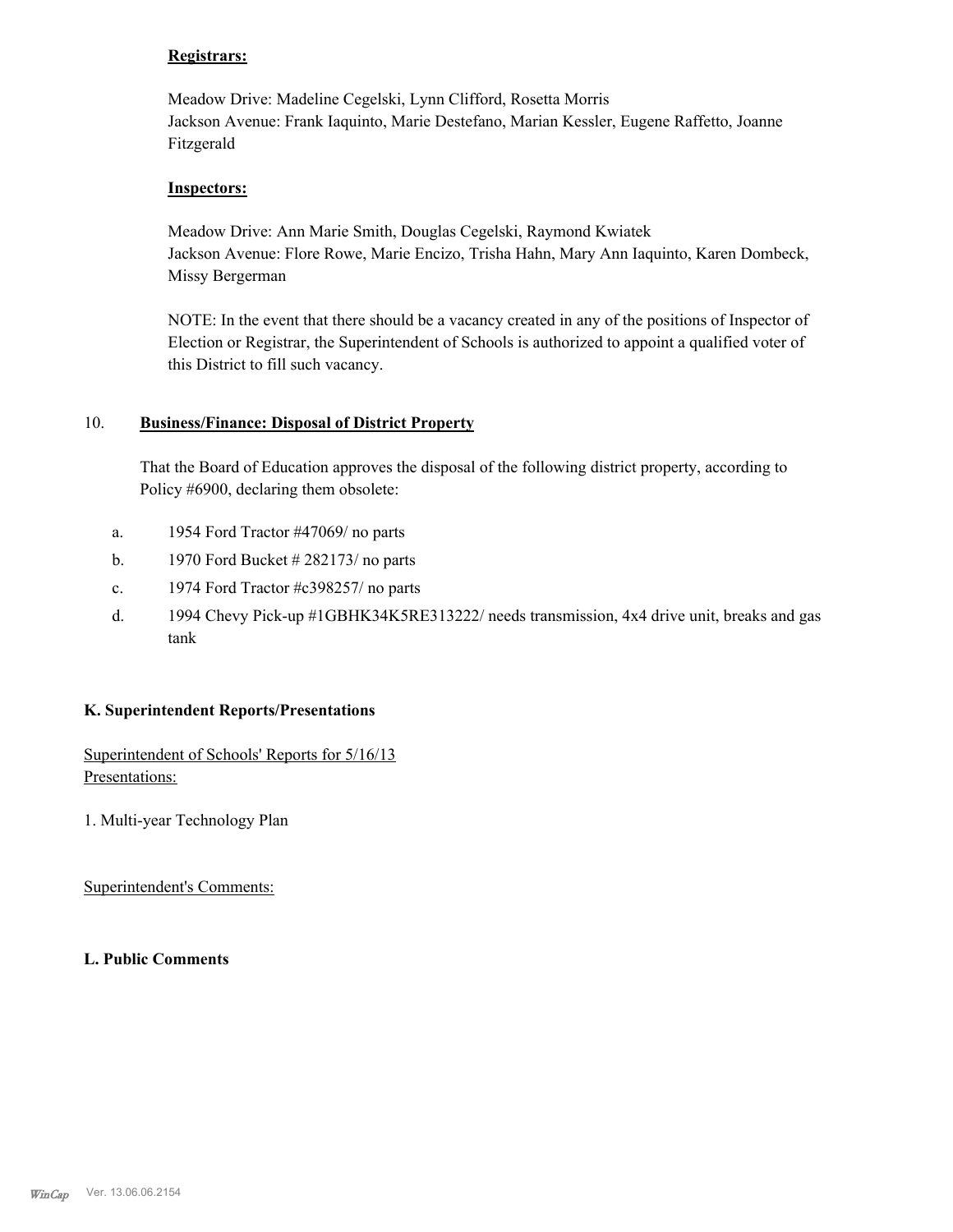#### **Registrars:**

Meadow Drive: Madeline Cegelski, Lynn Clifford, Rosetta Morris Jackson Avenue: Frank Iaquinto, Marie Destefano, Marian Kessler, Eugene Raffetto, Joanne Fitzgerald

#### **Inspectors:**

Meadow Drive: Ann Marie Smith, Douglas Cegelski, Raymond Kwiatek Jackson Avenue: Flore Rowe, Marie Encizo, Trisha Hahn, Mary Ann Iaquinto, Karen Dombeck, Missy Bergerman

NOTE: In the event that there should be a vacancy created in any of the positions of Inspector of Election or Registrar, the Superintendent of Schools is authorized to appoint a qualified voter of this District to fill such vacancy.

#### **Business/Finance: Disposal of District Property** 10.

That the Board of Education approves the disposal of the following district property, according to Policy #6900, declaring them obsolete:

- a. 1954 Ford Tractor #47069/ no parts
- b. 1970 Ford Bucket # 282173/ no parts
- c. 1974 Ford Tractor #c398257/ no parts
- 1994 Chevy Pick-up #1GBHK34K5RE313222/ needs transmission, 4x4 drive unit, breaks and gas tank d.

#### **K. Superintendent Reports/Presentations**

Superintendent of Schools' Reports for 5/16/13 Presentations:

1. Multi-year Technology Plan

Superintendent's Comments:

**L. Public Comments**